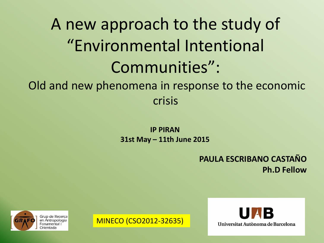# A new approach to the study of "Environmental Intentional Communities":

Old and new phenomena in response to the economic crisis

> **IP PIRAN 31st May – 11th June 2015**

> > **PAULA ESCRIBANO CASTAÑO Ph.D Fellow**



MINECO (CSO2012-32635)

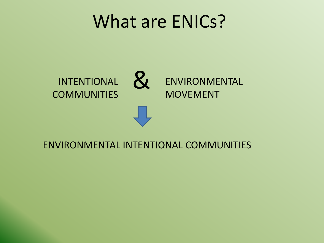## What are ENICs?



#### ENVIRONMENTAL INTENTIONAL COMMUNITIES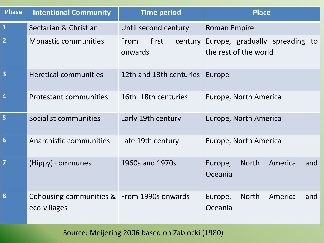| <b>Phase</b>            | <b>Intentional Community</b>                               | <b>Time period</b>                  | <b>Place</b>                                            |  |  |
|-------------------------|------------------------------------------------------------|-------------------------------------|---------------------------------------------------------|--|--|
| $\mathbf{1}$            | Sectarian & Christian                                      | Until second century                | <b>Roman Empire</b>                                     |  |  |
| $\overline{2}$          | <b>Monastic communities</b>                                | first<br>From<br>century<br>onwards | Europe, gradually spreading to<br>the rest of the world |  |  |
| $\overline{\mathbf{3}}$ | <b>Heretical communities</b>                               | 12th and 13th centuries             | Europe                                                  |  |  |
| $\overline{\mathbf{4}}$ | <b>Protestant communities</b>                              | 16th-18th centuries                 | Europe, North America                                   |  |  |
| 5                       | Socialist communities                                      | Early 19th century                  | Europe, North America                                   |  |  |
| $6\phantom{1}6$         | Anarchistic communities                                    | Late 19th century                   | Europe, North America                                   |  |  |
| $\overline{7}$          | (Hippy) communes                                           | 1960s and 1970s                     | <b>North</b><br>America<br>Europe,<br>and<br>Oceania    |  |  |
| 8                       | Cohousing communities & From 1990s onwards<br>eco-villages |                                     | <b>North</b><br>America<br>Europe,<br>and<br>Oceania    |  |  |

Source: Meijering 2006 based on Zablocki (1980)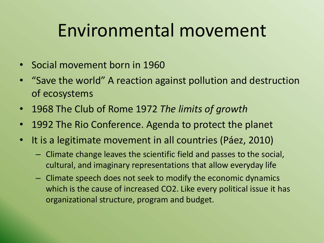# Environmental movement

- Social movement born in 1960
- "Save the world" A reaction against pollution and destruction of ecosystems
- 1968 The Club of Rome 1972 *The limits of growth*
- 1992 The Rio Conference. Agenda to protect the planet
- It is a legitimate movement in all countries (Páez, 2010)
	- Climate change leaves the scientific field and passes to the social, cultural, and imaginary representations that allow everyday life
	- Climate speech does not seek to modify the economic dynamics which is the cause of increased CO2. Like every political issue it has organizational structure, program and budget.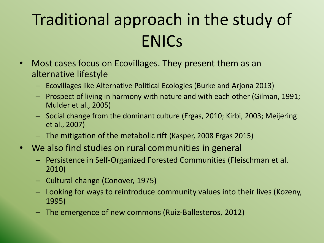# Traditional approach in the study of ENICs

- Most cases focus on Ecovillages. They present them as an alternative lifestyle
	- Ecovillages like Alternative Political Ecologies (Burke and Arjona 2013)
	- Prospect of living in harmony with nature and with each other (Gilman, 1991; Mulder et al., 2005)
	- Social change from the dominant culture (Ergas, 2010; Kirbi, 2003; Meijering et al., 2007)
	- The mitigation of the metabolic rift (Kasper, 2008 Ergas 2015)
- We also find studies on rural communities in general
	- Persistence in Self-Organized Forested Communities (Fleischman et al. 2010)
	- Cultural change (Conover, 1975)
	- Looking for ways to reintroduce community values into their lives (Kozeny, 1995)
	- The emergence of new commons (Ruiz-Ballesteros, 2012)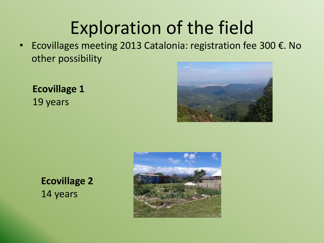# Exploration of the field

• Ecovillages meeting 2013 Catalonia: registration fee 300 €. No other possibility

**Ecovillage 1** 19 years



**Ecovillage 2** 14 years

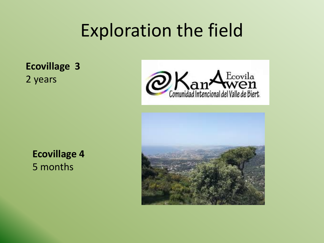# Exploration the field

**Ecovillage 3** 2 years





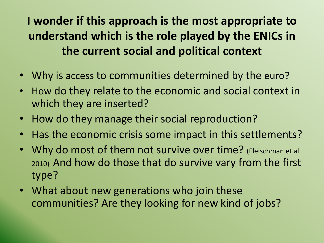**I wonder if this approach is the most appropriate to understand which is the role played by the ENICs in the current social and political context**

- Why is access to communities determined by the euro?
- How do they relate to the economic and social context in which they are inserted?
- How do they manage their social reproduction?
- Has the economic crisis some impact in this settlements?
- Why do most of them not survive over time? (Fleischman et al. 2010) And how do those that do survive vary from the first type?
- What about new generations who join these communities? Are they looking for new kind of jobs?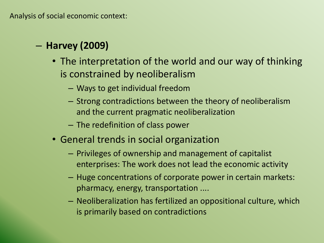### – **Harvey (2009)**

- The interpretation of the world and our way of thinking is constrained by neoliberalism
	- Ways to get individual freedom
	- Strong contradictions between the theory of neoliberalism and the current pragmatic neoliberalization
	- The redefinition of class power
- General trends in social organization
	- Privileges of ownership and management of capitalist enterprises: The work does not lead the economic activity
	- Huge concentrations of corporate power in certain markets: pharmacy, energy, transportation ....
	- Neoliberalization has fertilized an oppositional culture, which is primarily based on contradictions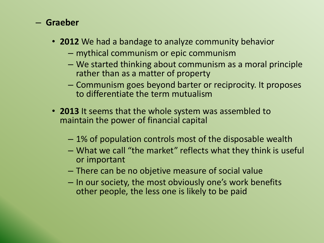#### – **Graeber**

- **2012** We had a bandage to analyze community behavior
	- mythical communism or epic communism
	- We started thinking about communism as a moral principle rather than as a matter of property
	- Communism goes beyond barter or reciprocity. It proposes to differentiate the term mutualism
- **2013** It seems that the whole system was assembled to maintain the power of financial capital
	- 1% of population controls most of the disposable wealth
	- What we call "the market" reflects what they think is useful or important
	- There can be no objetive measure of social value
	- In our society, the most obviously one's work benefits other people, the less one is likely to be paid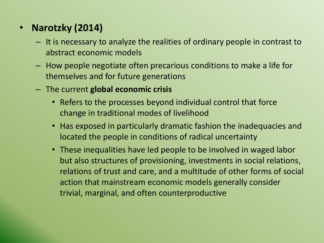### • **Narotzky (2014)**

- It is necessary to analyze the realities of ordinary people in contrast to abstract economic models
- How people negotiate often precarious conditions to make a life for themselves and for future generations
- The current **global economic crisis**
	- Refers to the processes beyond individual control that force change in traditional modes of livelihood
	- Has exposed in particularly dramatic fashion the inadequacies and located the people in conditions of radical uncertainty
	- These inequalities have led people to be involved in waged labor but also structures of provisioning, investments in social relations, relations of trust and care, and a multitude of other forms of social action that mainstream economic models generally consider trivial, marginal, and often counterproductive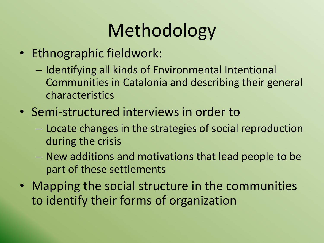# Methodology

- Ethnographic fieldwork:
	- Identifying all kinds of Environmental Intentional Communities in Catalonia and describing their general characteristics
- Semi-structured interviews in order to
	- Locate changes in the strategies of social reproduction during the crisis
	- New additions and motivations that lead people to be part of these settlements
- Mapping the social structure in the communities to identify their forms of organization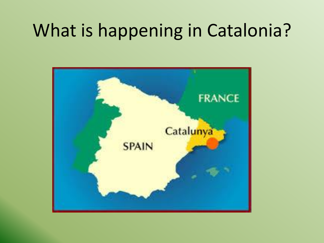# What is happening in Catalonia?

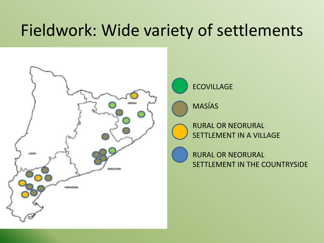## Fieldwork: Wide variety of settlements





MASÍAS

RURAL OR NEORURAL SETTLEMENT IN A VILLAGE

RURAL OR NEORURAL SETTLEMENT IN THE COUNTRYSIDE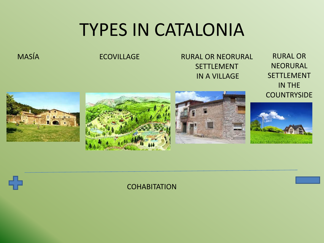# TYPES IN CATALONIA

MASÍA ECOVILLAGE RURAL OR NEORURAL **SFTTLFMFNT** IN A VILLAGE

RURAL OR NEORURAL SETTLEMENT IN THE **COUNTRYSIDE** 





#### **COHABITATION**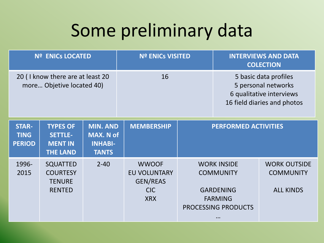# Some preliminary data

| <b>Nº ENICS LOCATED</b>                                       |                                                                        |                                                                       | <b>Nº ENICS VISITED</b>                                                            |                                                                                                                 | <b>INTERVIEWS AND DATA</b><br><b>COLECTION</b>                                                          |                                                             |
|---------------------------------------------------------------|------------------------------------------------------------------------|-----------------------------------------------------------------------|------------------------------------------------------------------------------------|-----------------------------------------------------------------------------------------------------------------|---------------------------------------------------------------------------------------------------------|-------------------------------------------------------------|
| 20 (I know there are at least 20<br>more Objetive located 40) |                                                                        |                                                                       | 16                                                                                 |                                                                                                                 | 5 basic data profiles<br>5 personal networks<br>6 qualitative interviews<br>16 field diaries and photos |                                                             |
| <b>STAR-</b><br><b>TING</b><br><b>PERIOD</b>                  | <b>TYPES OF</b><br><b>SETTLE-</b><br><b>MENT IN</b><br><b>THE LAND</b> | <b>MIN. AND</b><br><b>MAX. N of</b><br><b>INHABI-</b><br><b>TANTS</b> | <b>MEMBERSHIP</b>                                                                  | <b>PERFORMED ACTIVITIES</b>                                                                                     |                                                                                                         |                                                             |
| 1996-<br>2015                                                 | <b>SQUATTED</b><br><b>COURTESY</b><br><b>TENURE</b><br><b>RENTED</b>   | $2 - 40$                                                              | <b>WWOOF</b><br><b>EU VOLUNTARY</b><br><b>GEN/REAS</b><br><b>CIC</b><br><b>XRX</b> | <b>WORK INSIDE</b><br><b>COMMUNITY</b><br><b>GARDENING</b><br><b>FARMING</b><br>PROCESSING PRODUCTS<br>$\cdots$ |                                                                                                         | <b>WORK OUTSIDE</b><br><b>COMMUNITY</b><br><b>ALL KINDS</b> |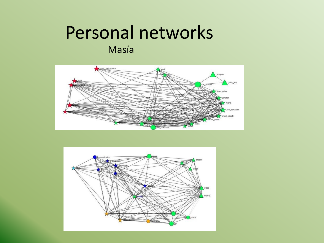### Personal networks Masía



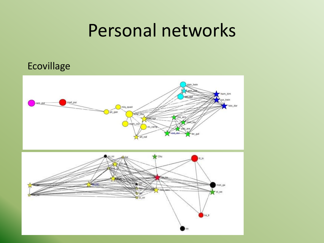## Personal networks

#### Ecovillage

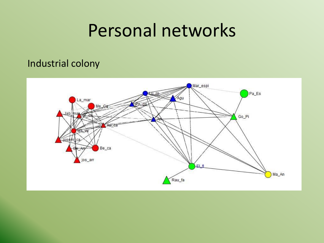## Personal networks

### Industrial colony

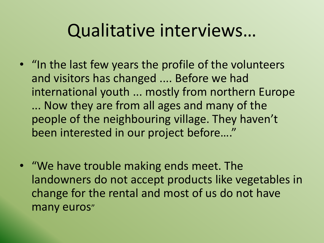# Qualitative interviews…

- "In the last few years the profile of the volunteers and visitors has changed .... Before we had international youth ... mostly from northern Europe ... Now they are from all ages and many of the people of the neighbouring village. They haven't been interested in our project before…."
- "We have trouble making ends meet. The landowners do not accept products like vegetables in change for the rental and most of us do not have many euros"